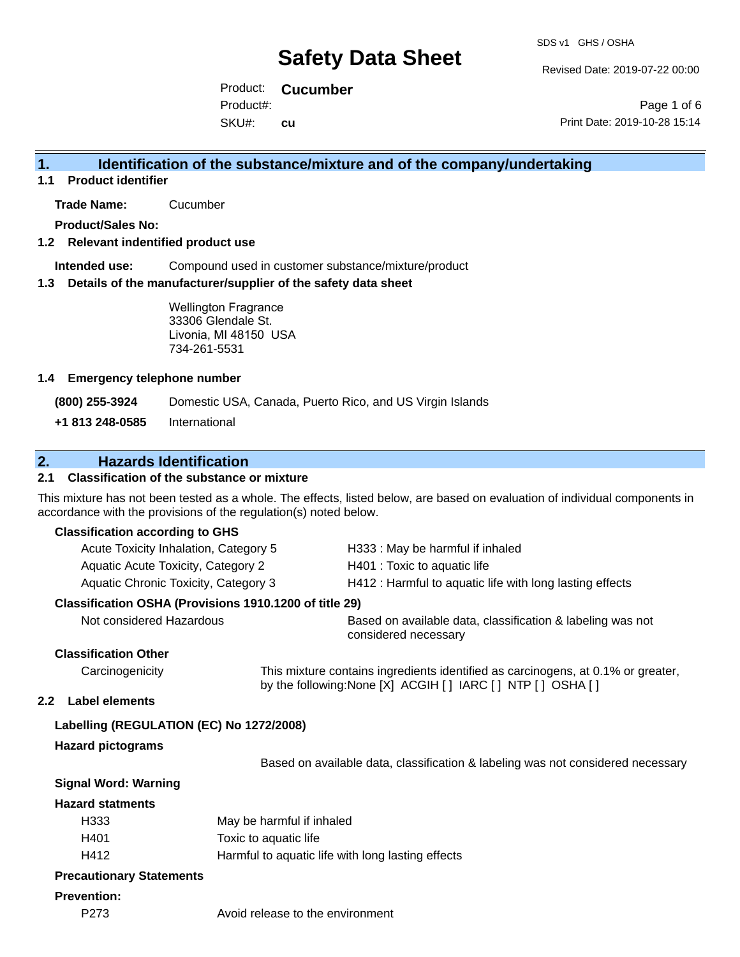Revised Date: 2019-07-22 00:00

Product: **Cucumber** SKU#: Product#: **cu**

Page 1 of 6 Print Date: 2019-10-28 15:14

#### **1. Identification of the substance/mixture and of the company/undertaking**

**1.1 Product identifier**

**Trade Name:** Cucumber

**Product/Sales No:**

#### **1.2 Relevant indentified product use**

**Intended use:** Compound used in customer substance/mixture/product

#### **1.3 Details of the manufacturer/supplier of the safety data sheet**

Wellington Fragrance 33306 Glendale St. Livonia, MI 48150 USA 734-261-5531

#### **1.4 Emergency telephone number**

**(800) 255-3924** Domestic USA, Canada, Puerto Rico, and US Virgin Islands

**+1 813 248-0585** International

#### **2. Hazards Identification**

#### **2.1 Classification of the substance or mixture**

This mixture has not been tested as a whole. The effects, listed below, are based on evaluation of individual components in accordance with the provisions of the regulation(s) noted below.

#### **Classification according to GHS**

| Material and the control of the control of the control of the control of the control of the control of the control of the control of the control of the control of the control of the control of the control of the control of | The country of the state of the state of the control of the first of the control of the state of the control of the control of the control of the control of the control of the control of the control of the control of the c |
|--------------------------------------------------------------------------------------------------------------------------------------------------------------------------------------------------------------------------------|--------------------------------------------------------------------------------------------------------------------------------------------------------------------------------------------------------------------------------|
| Classification OSHA (Provisions 1910.1200 of title 29)                                                                                                                                                                         |                                                                                                                                                                                                                                |
| Aquatic Chronic Toxicity, Category 3                                                                                                                                                                                           | H412 : Harmful to aquatic life with long lasting effects                                                                                                                                                                       |
| Aquatic Acute Toxicity, Category 2                                                                                                                                                                                             | H401 : Toxic to aquatic life                                                                                                                                                                                                   |
| Acute Toxicity Inhalation, Category 5                                                                                                                                                                                          | H333: May be harmful if inhaled                                                                                                                                                                                                |

Not considered Hazardous Based on available data, classification & labeling was not considered necessary

#### **Classification Other**

Carcinogenicity This mixture contains ingredients identified as carcinogens, at 0.1% or greater, by the following:None [X] ACGIH [ ] IARC [ ] NTP [ ] OSHA [ ]

#### **2.2 Label elements**

#### **Labelling (REGULATION (EC) No 1272/2008)**

#### **Hazard pictograms**

Based on available data, classification & labeling was not considered necessary

#### **Signal Word: Warning**

#### **Hazard statments**

| H333 | May be harmful if inhaled                         |
|------|---------------------------------------------------|
| H401 | Toxic to aquatic life                             |
| H412 | Harmful to aquatic life with long lasting effects |

#### **Precautionary Statements**

#### **Prevention:**

P273 Avoid release to the environment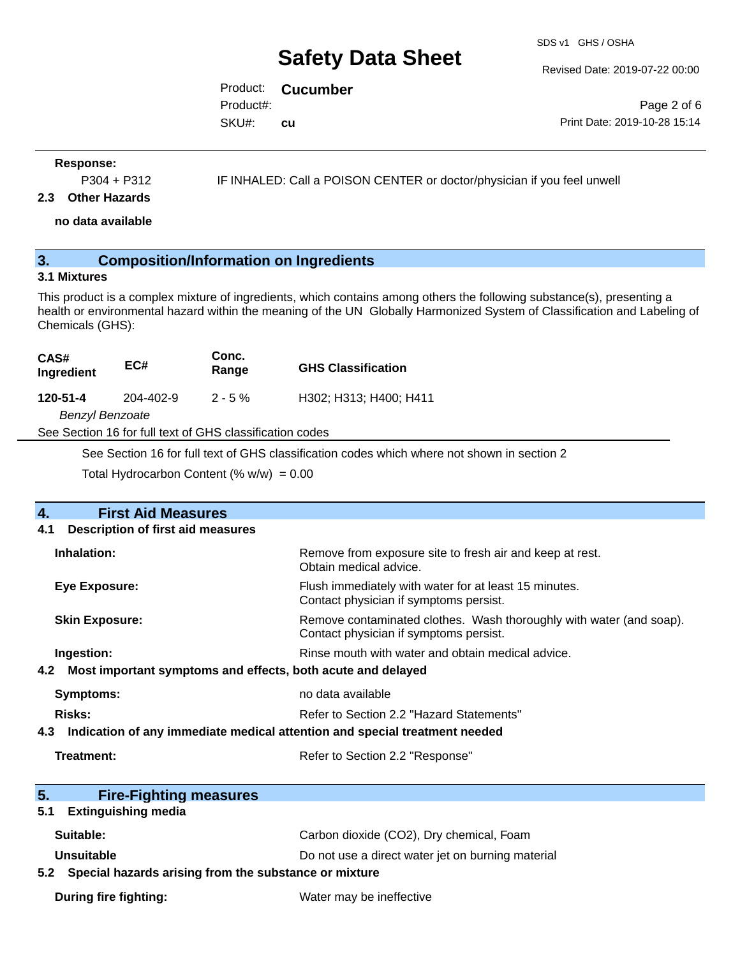SDS v1 GHS / OSHA

Revised Date: 2019-07-22 00:00

Product: **Cucumber** SKU#: Product#: **cu**

Page 2 of 6 Print Date: 2019-10-28 15:14

#### **Response:**

P304 + P312 IF INHALED: Call a POISON CENTER or doctor/physician if you feel unwell

#### **2.3 Other Hazards**

**no data available**

### **3. Composition/Information on Ingredients**

#### **3.1 Mixtures**

This product is a complex mixture of ingredients, which contains among others the following substance(s), presenting a health or environmental hazard within the meaning of the UN Globally Harmonized System of Classification and Labeling of Chemicals (GHS):

| CAS#<br>Ingredient | EC#       | Conc.<br>Range | <b>GHS Classification</b> |
|--------------------|-----------|----------------|---------------------------|
| 120-51-4           | 204-402-9 | $2 - 5 \%$     | H302; H313; H400; H411    |
| Benzyl Benzoate    |           |                |                           |

See Section 16 for full text of GHS classification codes

See Section 16 for full text of GHS classification codes which where not shown in section 2

Total Hydrocarbon Content (%  $w/w$ ) = 0.00

| $\overline{4}$ . | <b>First Aid Measures</b>                                                  |                                                                                                               |  |  |  |
|------------------|----------------------------------------------------------------------------|---------------------------------------------------------------------------------------------------------------|--|--|--|
| 4.1              | Description of first aid measures                                          |                                                                                                               |  |  |  |
|                  | Inhalation:                                                                | Remove from exposure site to fresh air and keep at rest.<br>Obtain medical advice.                            |  |  |  |
|                  | <b>Eye Exposure:</b>                                                       | Flush immediately with water for at least 15 minutes.<br>Contact physician if symptoms persist.               |  |  |  |
|                  | <b>Skin Exposure:</b>                                                      | Remove contaminated clothes. Wash thoroughly with water (and soap).<br>Contact physician if symptoms persist. |  |  |  |
|                  | Ingestion:                                                                 | Rinse mouth with water and obtain medical advice.                                                             |  |  |  |
| 4.2              | Most important symptoms and effects, both acute and delayed                |                                                                                                               |  |  |  |
|                  | <b>Symptoms:</b>                                                           | no data available                                                                                             |  |  |  |
|                  | <b>Risks:</b>                                                              | Refer to Section 2.2 "Hazard Statements"                                                                      |  |  |  |
| 4.3              | Indication of any immediate medical attention and special treatment needed |                                                                                                               |  |  |  |
|                  | Treatment:                                                                 | Refer to Section 2.2 "Response"                                                                               |  |  |  |
| 5.               | <b>Fire-Fighting measures</b>                                              |                                                                                                               |  |  |  |
| 5.1              | <b>Extinguishing media</b>                                                 |                                                                                                               |  |  |  |
|                  | Suitable:                                                                  | Carbon dioxide (CO2), Dry chemical, Foam                                                                      |  |  |  |
|                  | Unsuitable                                                                 | Do not use a direct water jet on burning material                                                             |  |  |  |
| 5.2              | Special hazards arising from the substance or mixture                      |                                                                                                               |  |  |  |
|                  | <b>During fire fighting:</b>                                               | Water may be ineffective                                                                                      |  |  |  |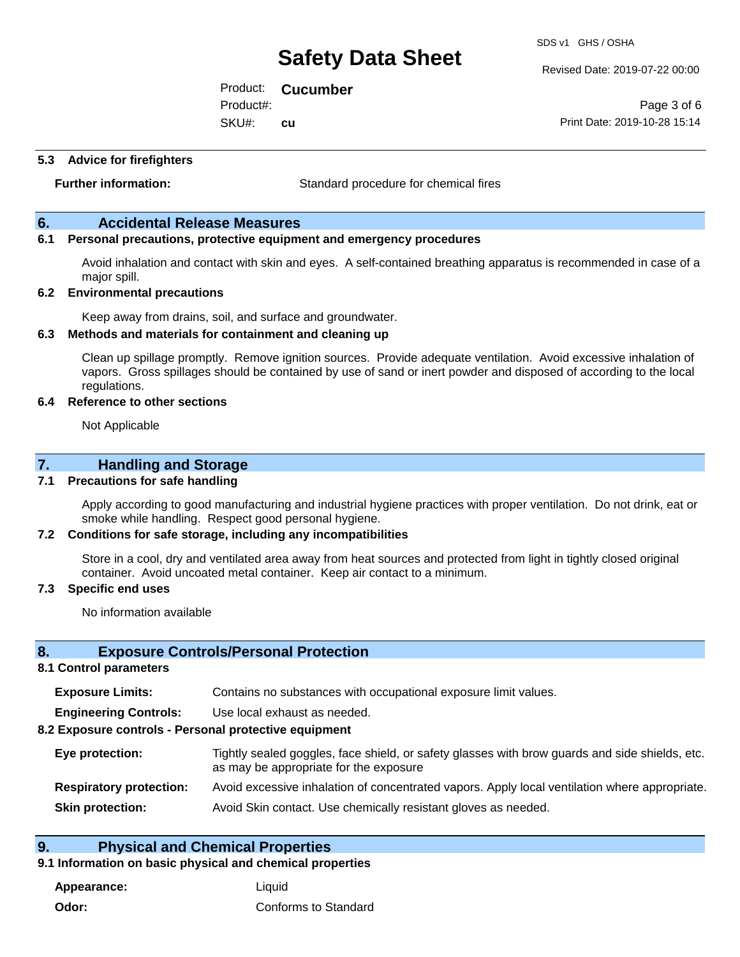Revised Date: 2019-07-22 00:00

Product: **Cucumber** SKU#: Product#: **cu**

Page 3 of 6 Print Date: 2019-10-28 15:14

#### **5.3 Advice for firefighters**

**Further information:** Standard procedure for chemical fires

#### **6. Accidental Release Measures**

#### **6.1 Personal precautions, protective equipment and emergency procedures**

Avoid inhalation and contact with skin and eyes. A self-contained breathing apparatus is recommended in case of a major spill.

#### **6.2 Environmental precautions**

Keep away from drains, soil, and surface and groundwater.

#### **6.3 Methods and materials for containment and cleaning up**

Clean up spillage promptly. Remove ignition sources. Provide adequate ventilation. Avoid excessive inhalation of vapors. Gross spillages should be contained by use of sand or inert powder and disposed of according to the local regulations.

#### **6.4 Reference to other sections**

Not Applicable

#### **7. Handling and Storage**

#### **7.1 Precautions for safe handling**

Apply according to good manufacturing and industrial hygiene practices with proper ventilation. Do not drink, eat or smoke while handling. Respect good personal hygiene.

#### **7.2 Conditions for safe storage, including any incompatibilities**

Store in a cool, dry and ventilated area away from heat sources and protected from light in tightly closed original container. Avoid uncoated metal container. Keep air contact to a minimum.

#### **7.3 Specific end uses**

No information available

#### **8. Exposure Controls/Personal Protection**

#### **8.1 Control parameters**

| <b>Exposure Limits:</b> |  | Contains no substances with occupational exposure limit values. |
|-------------------------|--|-----------------------------------------------------------------|
|-------------------------|--|-----------------------------------------------------------------|

**Engineering Controls:** Use local exhaust as needed.

#### **8.2 Exposure controls - Personal protective equipment**

| Eye protection:                | Tightly sealed goggles, face shield, or safety glasses with brow guards and side shields, etc.<br>as may be appropriate for the exposure |
|--------------------------------|------------------------------------------------------------------------------------------------------------------------------------------|
| <b>Respiratory protection:</b> | Avoid excessive inhalation of concentrated vapors. Apply local ventilation where appropriate.                                            |
| <b>Skin protection:</b>        | Avoid Skin contact. Use chemically resistant gloves as needed.                                                                           |

#### **9. Physical and Chemical Properties**

#### **9.1 Information on basic physical and chemical properties**

**Appearance:** Liquid **Odor:** Conforms to Standard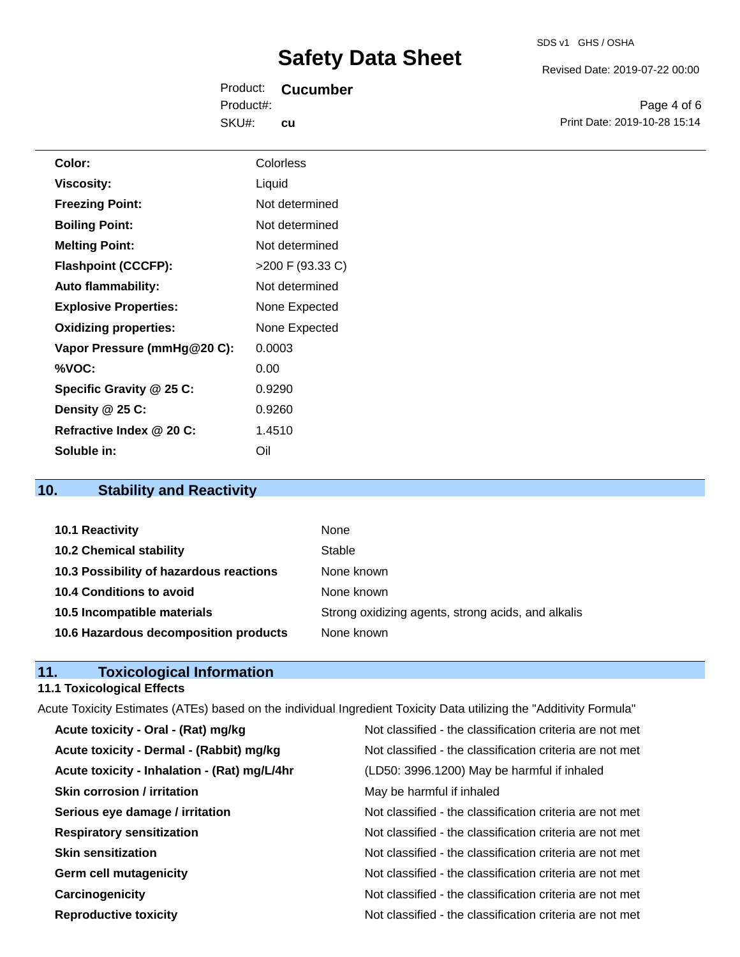Revised Date: 2019-07-22 00:00

Product: **Cucumber** SKU#: Product#: **cu**

Page 4 of 6 Print Date: 2019-10-28 15:14

| Color:                       | Colorless          |
|------------------------------|--------------------|
| <b>Viscosity:</b>            | Liquid             |
| <b>Freezing Point:</b>       | Not determined     |
| <b>Boiling Point:</b>        | Not determined     |
| <b>Melting Point:</b>        | Not determined     |
| <b>Flashpoint (CCCFP):</b>   | $>200$ F (93.33 C) |
| <b>Auto flammability:</b>    | Not determined     |
| <b>Explosive Properties:</b> | None Expected      |
| <b>Oxidizing properties:</b> | None Expected      |
| Vapor Pressure (mmHg@20 C):  | 0.0003             |
| %VOC:                        | 0.00               |
| Specific Gravity @ 25 C:     | 0.9290             |
| Density @ 25 C:              | 0.9260             |
| Refractive Index @ 20 C:     | 1.4510             |
| Soluble in:                  | Oil                |

## **10. Stability and Reactivity**

| 10.1 Reactivity                         | None                                               |
|-----------------------------------------|----------------------------------------------------|
| <b>10.2 Chemical stability</b>          | Stable                                             |
| 10.3 Possibility of hazardous reactions | None known                                         |
| 10.4 Conditions to avoid                | None known                                         |
| 10.5 Incompatible materials             | Strong oxidizing agents, strong acids, and alkalis |
| 10.6 Hazardous decomposition products   | None known                                         |

### **11. Toxicological Information**

### **11.1 Toxicological Effects**

| Acute Toxicity Estimates (ATEs) based on the individual Ingredient Toxicity Data utilizing the "Additivity Formula" |                                                          |
|---------------------------------------------------------------------------------------------------------------------|----------------------------------------------------------|
| Acute toxicity - Oral - (Rat) mg/kg                                                                                 | Not classified - the classification criteria are not met |
| Acute toxicity - Dermal - (Rabbit) mg/kg                                                                            | Not classified - the classification criteria are not met |
| Acute toxicity - Inhalation - (Rat) mg/L/4hr                                                                        | (LD50: 3996.1200) May be harmful if inhaled              |
| <b>Skin corrosion / irritation</b>                                                                                  | May be harmful if inhaled                                |
| Serious eye damage / irritation                                                                                     | Not classified - the classification criteria are not met |
| <b>Respiratory sensitization</b>                                                                                    | Not classified - the classification criteria are not met |
| <b>Skin sensitization</b>                                                                                           | Not classified - the classification criteria are not met |
| <b>Germ cell mutagenicity</b>                                                                                       | Not classified - the classification criteria are not met |
| Carcinogenicity                                                                                                     | Not classified - the classification criteria are not met |
| <b>Reproductive toxicity</b>                                                                                        | Not classified - the classification criteria are not met |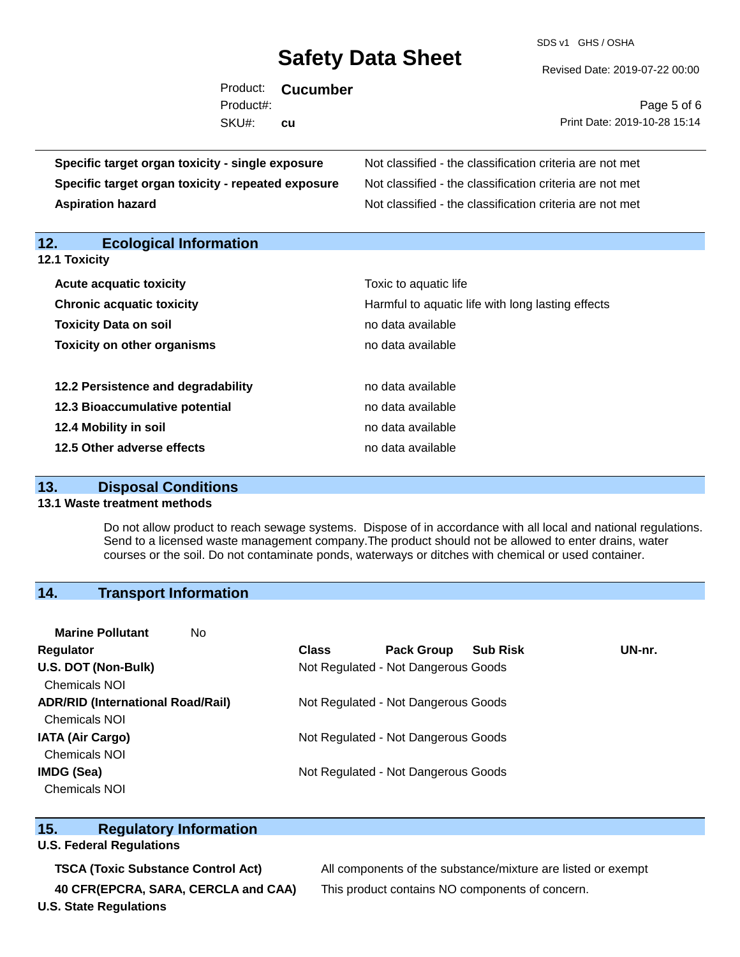SDS v1 GHS / OSHA

Revised Date: 2019-07-22 00:00

| Product:<br><b>Cucumber</b><br>Product#:<br>SKU#:<br><b>cu</b> | Page 5 of 6<br>Print Date: 2019-10-28 15:14              |
|----------------------------------------------------------------|----------------------------------------------------------|
| Specific target organ toxicity - single exposure               | Not classified - the classification criteria are not met |
| Specific target organ toxicity - repeated exposure             | Not classified - the classification criteria are not met |
| <b>Aspiration hazard</b>                                       | Not classified - the classification criteria are not met |
| 12.<br><b>Ecological Information</b><br>12.1 Toxicity          |                                                          |

| <b>Acute acquatic toxicity</b>     | Toxic to aquatic life                             |
|------------------------------------|---------------------------------------------------|
| <b>Chronic acquatic toxicity</b>   | Harmful to aquatic life with long lasting effects |
| <b>Toxicity Data on soil</b>       | no data available                                 |
| <b>Toxicity on other organisms</b> | no data available                                 |
|                                    |                                                   |
| 12.2 Persistence and degradability | no data available                                 |
| 12.3 Bioaccumulative potential     | no data available                                 |
| 12.4 Mobility in soil              | no data available                                 |
| 12.5 Other adverse effects         | no data available                                 |

#### **13. Disposal Conditions**

#### **13.1 Waste treatment methods**

Do not allow product to reach sewage systems. Dispose of in accordance with all local and national regulations. Send to a licensed waste management company.The product should not be allowed to enter drains, water courses or the soil. Do not contaminate ponds, waterways or ditches with chemical or used container.

#### **14. Transport Information**

| <b>Marine Pollutant</b><br>No.           |              |                                     |                 |        |
|------------------------------------------|--------------|-------------------------------------|-----------------|--------|
| Regulator                                | <b>Class</b> | <b>Pack Group</b>                   | <b>Sub Risk</b> | UN-nr. |
| U.S. DOT (Non-Bulk)                      |              | Not Regulated - Not Dangerous Goods |                 |        |
| <b>Chemicals NOI</b>                     |              |                                     |                 |        |
| <b>ADR/RID (International Road/Rail)</b> |              | Not Regulated - Not Dangerous Goods |                 |        |
| <b>Chemicals NOI</b>                     |              |                                     |                 |        |
| <b>IATA (Air Cargo)</b>                  |              | Not Regulated - Not Dangerous Goods |                 |        |
| <b>Chemicals NOI</b>                     |              |                                     |                 |        |
| IMDG (Sea)                               |              | Not Regulated - Not Dangerous Goods |                 |        |
| <b>Chemicals NOI</b>                     |              |                                     |                 |        |

#### **15. Regulatory Information**

#### **U.S. Federal Regulations**

**40 CFR(EPCRA, SARA, CERCLA and CAA)** This product contains NO components of concern. **U.S. State Regulations**

**TSCA (Toxic Substance Control Act)** All components of the substance/mixture are listed or exempt